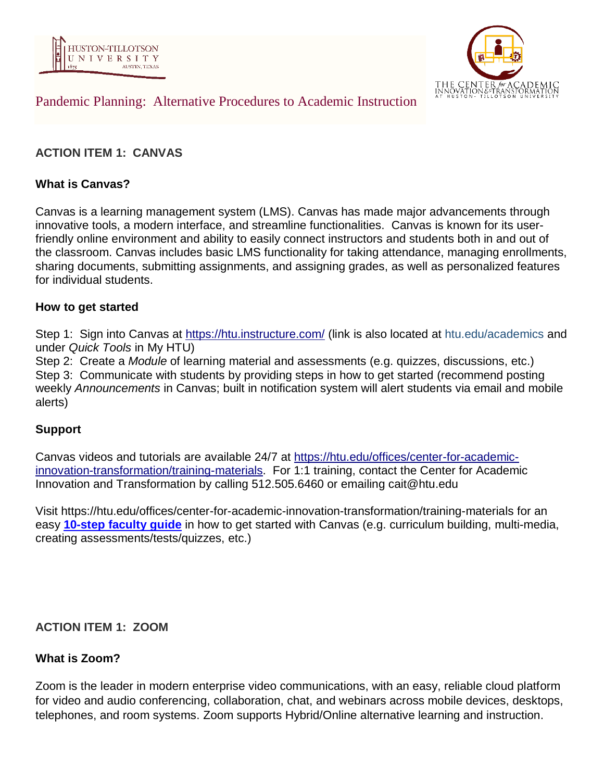



# Pandemic Planning: Alternative Procedures to Academic Instruction

# **ACTION ITEM 1: CANVAS**

### **What is Canvas?**

Canvas is a learning management system (LMS). Canvas has made major advancements through innovative tools, a modern interface, and streamline functionalities. Canvas is known for its userfriendly online environment and ability to easily connect instructors and students both in and out of the classroom. Canvas includes basic LMS functionality for taking attendance, managing enrollments, sharing documents, submitting assignments, and assigning grades, as well as personalized features for individual students.

#### **How to get started**

Step 1: Sign into Canvas at <https://htu.instructure.com/> (link is also located at htu.edu/academics and under *Quick Tools* in My HTU)

Step 2: Create a *Module* of learning material and assessments (e.g. quizzes, discussions, etc.) Step 3: Communicate with students by providing steps in how to get started (recommend posting weekly *Announcements* in Canvas; built in notification system will alert students via email and mobile alerts)

#### **Support**

Canvas videos and tutorials are available 24/7 at [https://htu.edu/offices/center-for-academic](https://htu.edu/offices/center-for-academic-innovation-transformation/training-materials)[innovation-transformation/training-materials.](https://htu.edu/offices/center-for-academic-innovation-transformation/training-materials) For 1:1 training, contact the Center for Academic Innovation and Transformation by calling 512.505.6460 or emailing cait@htu.edu

Visit https://htu.edu/offices/center-for-academic-innovation-transformation/training-materials for an easy **[10-step](https://htu.edu/wp-content/uploads/2019/08/10-Steps-Getting-Started-with-Canvas-for-Faculty.png) faculty guide** in how to get started with Canvas (e.g. curriculum building, multi-media, creating assessments/tests/quizzes, etc.)

**ACTION ITEM 1: ZOOM**

#### **What is Zoom?**

Zoom is the leader in modern enterprise video communications, with an easy, reliable cloud platform for video and audio conferencing, collaboration, chat, and webinars across mobile devices, desktops, telephones, and room systems. Zoom supports Hybrid/Online alternative learning and instruction.